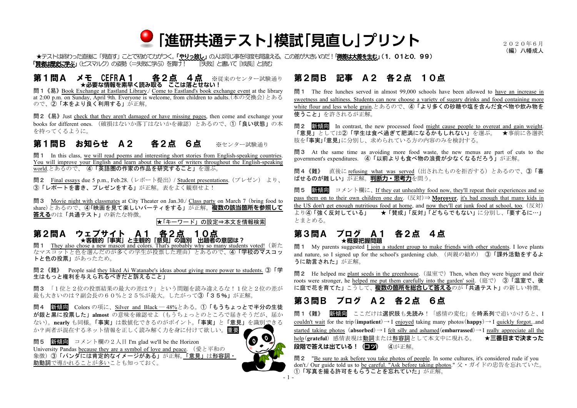

★テストは終わった直後に「見直す」ことで初めて力がつく。「やりっ放し」の人は同じ事を何度も間違える。この差が大きいのだ!「微差は大差を生む」(1.01と0.99) 「賢者は歴史に学ぶ」(ビスマルク) の姿勢 (=失敗に学ぶ) を貫 ナ! ^^^^^ 『失敗』と書いて『成長』と読む

### 第1問A メモ CEFRA1 各2点 4点 ※従来のセンター試験通り ★**必要な情報を素早く読み取る ここは落とせない!**

問1《易》Book Exchange at Eastland Library./ Come to Eastland's book exchange event at the library at 2:00 p.m. on Sunday, April 9th. Everyone is welcome, from children to adults.(本の交換会)とある ので、2「本をより良く利用する」が正解。

問2《易》Just check that they aren't damaged or have missing pages, then come and exchange your books for different ones. (破損はないか落丁はないかを確認)とあるので、①「良い状態」の本 を持ってくるように。

# 第1問B お知らせ A2 各2点 6点 ※センター試験通り

問1 In this class, we will read poems and interesting short stories from English-speaking countries. You will improve your English and learn about the ideas of writers throughout the English-speaking world.とあるので、 ④「英語圏の作家の作品を研究すること」を選ぶ。

問2 Final essays due 5 p.m., Feb.28.(レポート提出)/ Student presentations.(プレゼン) より、 ③「レポートを書き、プレゼンをする」が正解。表をよく観察せよ!

問3 Movie night with classmates at City Theater on Jan.30./ Class party on March 7 (bring food to share)とあるので、④「映画を見て楽しいパーティをする」が正解。**複数の該当箇所を参照して 答える**のは「共通テスト」の新たな特徴。

★「キーワード」の設定⇒本文を情報検索

### 第2問A ウェブサ<u>イト A1 各2点 10点</u> ★**客観的「事実」と主観的「意見」の識別 出題者の意図は?**

**問 1** They also chose a new mascot and colors. That's probably why so many students voted! (新た なマスコットと色を選んだのが多くの学生が投票した理由)とあるので、4「学校のマスコッ トと色の投票」があったため。

問2《難》 People said they liked Ai Watanabe's ideas about giving more power to students. ③「学 生はもっと権利を与えられるべきだと訴えること」

問3 「1位と2位の投票結果の最大の差は?」という問題を読み違えるな!1位と2位の差が 最も大きいのは?副会長の60%と25%が最大。したがって③「35%」が正解。

問4 新傾向 Colors の項に、Silver and Black ― 48%とある。①「もうちょっとで半分の生徒 が銀と黒に投票した」**almost** の意味を確認せよ(もうちょっとのところで届きそうだが、届か ない)。**nearly** も同様。「事実」は数値化できるのがポイント。「事実」と「意見」を識別できる か?両者が混在するネット情報を正しく読み解く力を身に付けて欲しい。重要

問5 新傾向 コメント欄の2人目 I'm glad we'll be the Horizon University Pandas because they are a symbol of love and peace. (愛と平和の 象徴)③「パンダには肯定的なイメージがある」が正解。「意見」は形容詞・ 助動詞で導かれることが多いことも知っておく。



# 第2問B 記事 A2 各2点 10点

問1 The free lunches served in almost 99,000 schools have been allowed to have an increase in sweetness and saltiness. Students can now choose a variety of sugary drinks and food containing more white flour and less whole grain.とあるので、④「より多くの砂糖や塩を含んだ食べ物や飲み物を 使うこと」を許されるが正解。

問2 新傾向 In contrast, the new processed food might cause people to overeat and gain weight. 「意見」としては②「学生は食べ過ぎて肥満になるかもしれない」を選ぶ。 ★事前に各選択 肢を「事実」「意見」に分別し、求められている方の内容のみを検討する。

問3 At the same time as avoiding more food waste, the new menus are part of cuts to the government's expenditures. ④「以前よりも食べ物の浪費が少なくなるだろう」が正解。

問4《難》 直後に refusing what was served(出されたものを拒否する)とあるので、③「喜 ばせるのが難しい」が正解。**判断力・思考力**を問う。

問5 新傾向 コメント欄に、If they eat unhealthy food now, they'll repeat their experiences and so pass them on to their own children one day. (反対)⇒ **Moreover**, it's bad enough that many kids in the US don't get enough nutritious food at home, and now they'll eat junk food at school, too. (反対) より④「強く反対している」 ★「賛成」「反対」「どちらでもない」に分別し、「要するに…」 とまとめる。

#### 第3問A ブログ A1 各2点 4点 ★**概要把握問題**

問1 My parents suggested I join a student group to make friends with other students. I love plants and nature, so I signed up for the school's gardening club. (両親の勧め) ③「課外活動をするよ うに助言された」が正解。

**問2** He helped me plant seeds in the greenhouse. (温室で) Then, when they were bigger and their roots were stronger, he helped me put them carefully into the garden' soil. (庭で) ③「温室で、後 に庭で花を育てた」こうして、**複数の箇所を総合して答える**のが「共通テスト」の新しい特徴。

# 第3問B ブログ A2 各2点 6点

問1《難》 新傾向 ここだけは選択肢も先読み!「感情の変化」を時系列で追いかけると、I couldn't wait for the trip(**impatient**)→ I enjoyed taking many photos(**happy**)→ I quickly forgot...and started taking photos (**absorbed**)  $\rightarrow$  I felt silly and ashamed(**embarrassed**)  $\rightarrow$  I really appreciate all the help(**grateful**) 感情表現は動詞または形容詞として本文中に現れる。 ★**三番目まで決まった 段階で答えは出ている!(コツ)** ④が正解。

問2 "Be sure to ask before you take photos of people. In some cultures, it's considered rude if you don't./ Our guide told us to be careful. "Ask before taking photos." 父・ガイドの忠告を忘れていた。 ①「写真を撮る許可をもらうことを忘れていた」が正解。

(編)八幡成人